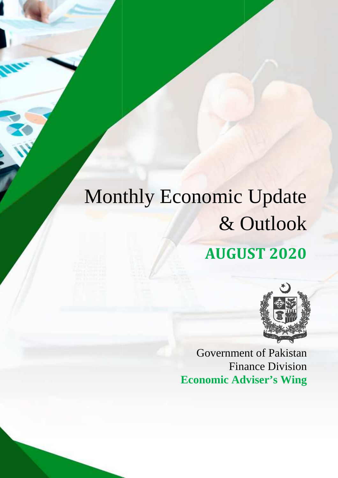# Monthly Economic Update & Outlook **AUGUST AUGUST 2020**



Government of Paki Pakistan Finance Division **Economic Adviser's Wing**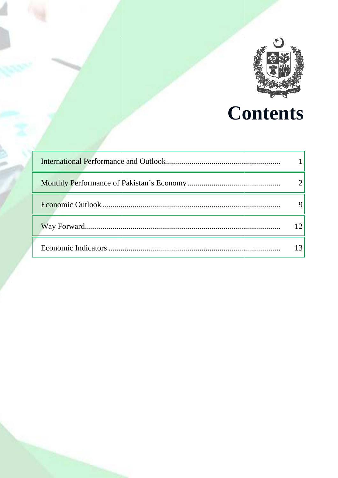

# **Contents**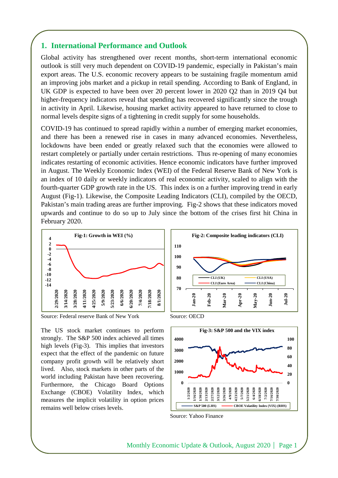## **1. International Performance and Outlook**

Global activity has strengthened over recent months, short-term international economic outlook is still very much dependent on COVID-19 pandemic, especially in Pakistan's main export areas. The U.S. economic recovery appears to be sustaining fragile momentum amid an improving jobs market and a pickup in retail spending. According to Bank of England, in UK GDP is expected to have been over 20 percent lower in 2020 Q2 than in 2019 Q4 but higher-frequency indicators reveal that spending has recovered significantly since the trough in activity in April. Likewise, housing market activity appeared to have returned to close to normal levels despite signs of a tightening in credit supply for some households.

COVID-19 has continued to spread rapidly within a number of emerging market economies, and there has been a renewed rise in cases in many advanced economies. Nevertheless, lockdowns have been ended or greatly relaxed such that the economies were allowed to restart completely or partially under certain restrictions. Thus re-opening of many economies indicates restarting of economic activities. Hence economic indicators have further improved in August. The Weekly Economic Index (WEI) of the Federal Reserve Bank of New York is an index of 10 daily or weekly indicators of real economic activity, scaled to align with the fourth-quarter GDP growth rate in the US. This index is on a further improving trend in early August (Fig-1). Likewise, the Composite Leading Indicators (CLI), compiled by the OECD, Pakistan's main trading areas are further improving. Fig-2 shows that these indicators moved upwards and continue to do so up to July since the bottom of the crises first hit China in February 2020.



Source: Federal reserve Bank of New York Source: OECD

The US stock market continues to perform strongly. The S&P 500 index achieved all times high levels (Fig-3). This implies that investors expect that the effect of the pandemic on future company profit growth will be relatively short lived. Also, stock markets in other parts of the world including Pakistan have been recovering. Furthermore, the Chicago Board Options Exchange (CBOE) Volatility Index, which measures the implicit volatility in option prices remains well below crises levels.







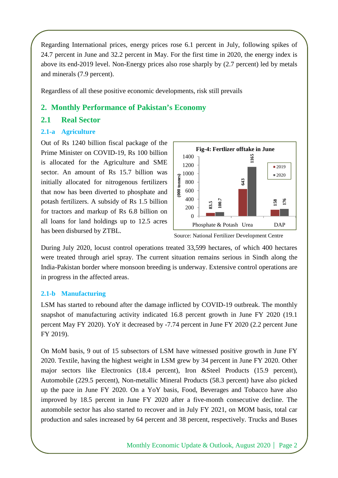Regarding International prices, energy prices rose 6.1 percent in July, following spikes of 24.7 percent in June and 32.2 percent in May. For the first time in 2020, the energy index is above its end-2019 level. Non-Energy prices also rose sharply by (2.7 percent) led by metals and minerals (7.9 percent).

Regardless of all these positive economic developments, risk still prevails

## **2. Monthly Performance of Pakistan's Economy**

## **2.1 Real Sector**

## **2.1-a Agriculture**

Out of Rs 1240 billion fiscal package of the Prime Minister on COVID-19, Rs 100 billion is allocated for the Agriculture and SME sector. An amount of Rs 15.7 billion was initially allocated for nitrogenous fertilizers that now has been diverted to phosphate and potash fertilizers. A subsidy of Rs 1.5 billion for tractors and markup of Rs 6.8 billion on all loans for land holdings up to 12.5 acres has been disbursed by ZTBL.



Source: National Fertilizer Development Centre

During July 2020, locust control operations treated 33,599 hectares, of which 400 hectares were treated through ariel spray. The current situation remains serious in Sindh along the India-Pakistan border where monsoon breeding is underway. Extensive control operations are in progress in the affected areas.

#### **2.1-b Manufacturing**

LSM has started to rebound after the damage inflicted by COVID-19 outbreak. The monthly snapshot of manufacturing activity indicated 16.8 percent growth in June FY 2020 (19.1 percent May FY 2020). YoY it decreased by -7.74 percent in June FY 2020 (2.2 percent June FY 2019).

On MoM basis, 9 out of 15 subsectors of LSM have witnessed positive growth in June FY 2020. Textile, having the highest weight in LSM grew by 34 percent in June FY 2020. Other major sectors like Electronics (18.4 percent), Iron &Steel Products (15.9 percent), Automobile (229.5 percent), Non-metallic Mineral Products (58.3 percent) have also picked up the pace in June FY 2020. On a YoY basis, Food, Beverages and Tobacco have also improved by 18.5 percent in June FY 2020 after a five-month consecutive decline. The automobile sector has also started to recover and in July FY 2021, on MOM basis, total car **EXAM** and solution and sales increased by increased by 64 percent and SME and the Agriculture and SME and solution was then increased by 64 Buses and marking of Rs 1.5 billion and sales is well also the sales increased b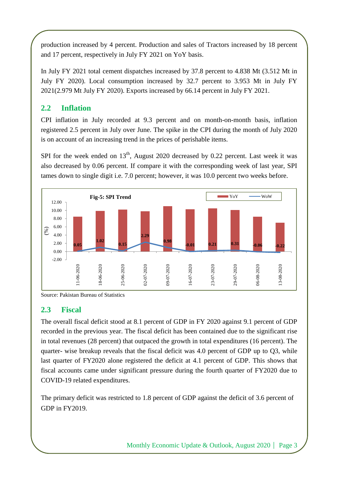production increased by 4 percent. Production and sales of Tractors increased by 18 percent and 17 percent, respectively in July FY 2021 on YoY basis.

In July FY 2021 total cement dispatches increased by 37.8 percent to 4.838 Mt (3.512 Mt in July FY 2020). Local consumption increased by 32.7 percent to 3.953 Mt in July FY 2021(2.979 Mt July FY 2020). Exports increased by 66.14 percent in July FY 2021.

## **2.2 Inflation**

CPI inflation in July recorded at 9.3 percent and on month-on-month basis, inflation registered 2.5 percent in July over June. The spike in the CPI during the month of July 2020 is on account of an increasing trend in the prices of perishable items.

SPI for the week ended on  $13<sup>th</sup>$ , August 2020 decreased by 0.22 percent. Last week it was also decreased by 0.06 percent. If compare it with the corresponding week of last year, SPI tames down to single digit i.e. 7.0 percent; however, it was 10.0 percent two weeks before.



Source: Pakistan Bureau of Statistics

## **2.3 Fiscal**

The overall fiscal deficit stood at 8.1 percent of GDP in FY 2020 against 9.1 percent of GDP recorded in the previous year. The fiscal deficit has been contained due to the significant rise in total revenues (28 percent) that outpaced the growth in total expenditures (16 percent). The quarter- wise breakup reveals that the fiscal deficit was 4.0 percent of GDP up to Q3, while last quarter of FY2020 alone registered the deficit at 4.1 percent of GDP. This shows that fiscal accounts came under significant pressure during the fourth quarter of FY2020 due to COVID-19 related expenditures.

The primary deficit was restricted to 1.8 percent of GDP against the deficit of 3.6 percent of GDP in FY2019.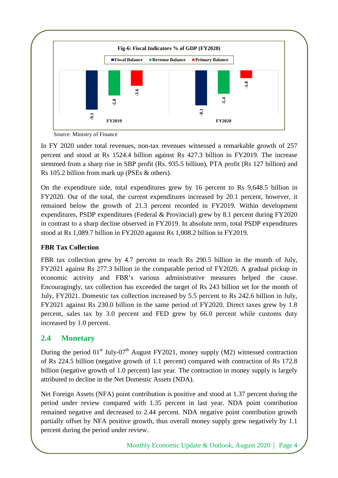

Source: Ministry of Finance

In FY 2020 under total revenues, non-tax revenues witnessed a remarkable growth of 257 percent and stood at Rs 1524.4 billion against Rs 427.3 billion in FY2019. The increase stemmed from a sharp rise in SBP profit (Rs. 935.5 billion), PTA profit (Rs 127 billion) and Rs 105.2 billion from mark up (PSEs & others).

On the expenditure side, total expenditures grew by 16 percent to Rs 9,648.5 billion in FY2020. Out of the total, the current expenditures increased by 20.1 percent, however, it remained below the growth of 21.3 percent recorded in FY2019. Within development expenditures, PSDP expenditures (Federal & Provincial) grew by 8.1 percent during FY2020 in contrast to a sharp decline observed in FY2019. In absolute term, total PSDP expenditures stood at Rs 1,089.7 billion in FY2020 against Rs 1,008.2 billion in FY2019.

## **FBR Tax Collection**

FBR tax collection grew by 4.7 percent to reach Rs 290.5 billion in the month of July, FY2021 against Rs 277.3 billion in the comparable period of FY2020. A gradual pickup in economic activity and FBR's various administrative measures helped the cause. Encouragingly, tax collection has exceeded the target of Rs 243 billion set for the month of July, FY2021. Domestic tax collection increased by 5.5 percent to Rs 242.6 billion in July, FY2021 against Rs 230.0 billion in the same period of FY2020. Direct taxes grew by 1.8 percent, sales tax by 3.0 percent and FED grew by 66.0 percent while customs duty increased by 1.0 percent. **Example 19.1**<br>
Source: Ministry of Finance<br>
In FY 2020 under total revenues, non-<br>
percent and stood at Rs 1524.4 billior<br>
stemmed from a sharp rise in SBP profi<br>
Rs 105.2 billion from mark up (PSEs &<br>
On the expenditure

# **2.4 Monetary**

During the period  $01<sup>st</sup>$  July-07<sup>th</sup> August FY2021, money supply (M2) witnessed contraction of Rs 224.5 billion (negative growth of 1.1 percent) compared with contraction of Rs 172.8 billion (negative growth of 1.0 percent) last year. The contraction in money supply is largely attributed to decline in the Net Domestic Assets (NDA).

Net Foreign Assets (NFA) point contribution is positive and stood at 1.37 percent during the period under review compared with 1.35 percent in last year. NDA point contribution remained negative and decreased to 2.44 percent. NDA negative point contribution growth partially offset by NFA positive growth, thus overall money supply grew negatively by 1.1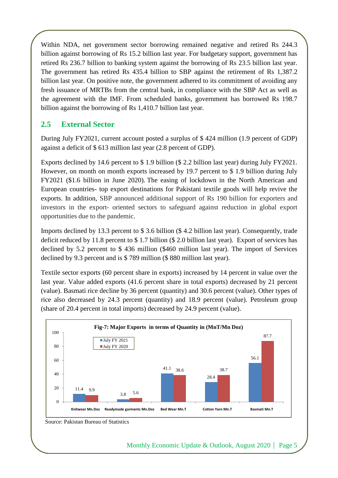Within NDA, net government sector borrowing remained negative and retired Rs 244.3 billion against borrowing of Rs 15.2 billion last year. For budgetary support, government has retired Rs 236.7 billion to banking system against the borrowing of Rs 23.5 billion last year. The government has retired Rs 435.4 billion to SBP against the retirement of Rs 1,387.2 billion last year. On positive note, the government adhered to its commitment of avoiding any fresh issuance of MRTBs from the central bank, in compliance with the SBP Act as well as the agreement with the IMF. From scheduled banks, government has borrowed Rs 198.7 billion against the borrowing of Rs 1,410.7 billion last year.

## **2.5 External Sector**

During July FY2021, current account posted a surplus of \$ 424 million (1.9 percent of GDP) against a deficit of \$ 613 million last year (2.8 percent of GDP).

Exports declined by 14.6 percent to \$ 1.9 billion (\$ 2.2 billion last year) during July FY2021. However, on month on month exports increased by 19.7 percent to \$ 1.9 billion during July FY2021 (\$1.6 billion in June 2020). The easing of lockdown in the North American and European countries- top export destinations for Pakistani textile goods will help revive the exports. In addition, SBP announced additional support of Rs 190 billion for exporters and investors in the export- oriented sectors to safeguard against reduction in global export opportunities due to the pandemic.

Imports declined by 13.3 percent to \$ 3.6 billion (\$ 4.2 billion last year). Consequently, trade deficit reduced by 11.8 percent to \$ 1.7 billion (\$ 2.0 billion last year). Export of services has declined by 5.2 percent to \$ 436 million (\$460 million last year). The import of Services declined by 9.3 percent and is \$ 789 million (\$ 880 million last year).

Textile sector exports (60 percent share in exports) increased by 14 percent in value over the last year. Value added exports (41.6 percent share in total exports) decreased by 21 percent (value). Basmati rice decline by 36 percent (quantity) and 30.6 percent (value). Other types of rice also decreased by 24.3 percent (quantity) and 18.9 percent (value). Petroleum group (share of 20.4 percent in total imports) decreased by 24.9 percent (value).



Source: Pakistan Bureau of Statistics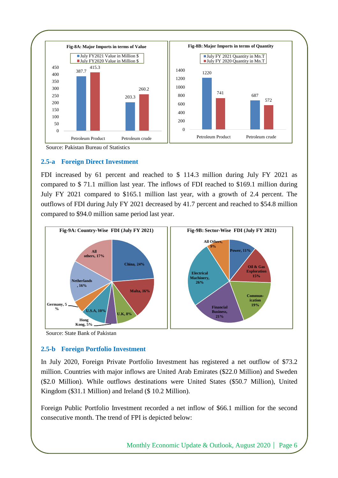

#### **2.5-a Foreign Direct Investment**

FDI increased by 61 percent and reached to \$ 114.3 million during July FY 2021 as compared to \$ 71.1 million last year. The inflows of FDI reached to \$169.1 million during July FY 2021 compared to \$165.1 million last year, with a growth of 2.4 percent. The outflows of FDI during July FY 2021 decreased by 41.7 percent and reached to \$54.8 million compared to \$94.0 million same period last year.



Source: State Bank of Pakistan

#### **2.5-b Foreign Portfolio Investment**

In July 2020, Foreign Private Portfolio Investment has registered a net outflow of \$73.2 million. Countries with major inflows are United Arab Emirates (\$22.0 Million) and Sweden (\$2.0 Million). While outflows destinations were United States (\$50.7 Million), United Kingdom (\$31.1 Million) and Ireland (\$ 10.2 Million).

Foreign Public Portfolio Investment recorded a net inflow of \$66.1 million for the second consecutive month. The trend of FPI is depicted below: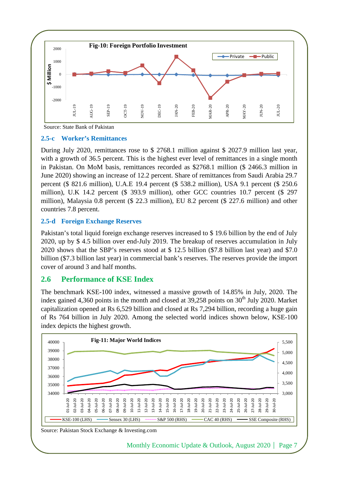

Source: State Bank of Pakistan

#### **2.5-c Worker's Remittances**

During July 2020, remittances rose to \$ 2768.1 million against \$ 2027.9 million last year, with a growth of 36.5 percent. This is the highest ever level of remittances in a single month in Pakistan. On MoM basis, remittances recorded as \$2768.1 million (\$ 2466.3 million in June 2020) showing an increase of 12.2 percent. Share of remittances from Saudi Arabia 29.7 percent (\$ 821.6 million), U.A.E 19.4 percent (\$ 538.2 million), USA 9.1 percent (\$ 250.6 million), U.K 14.2 percent (\$ 393.9 million), other GCC countries 10.7 percent (\$ 297 million), Malaysia 0.8 percent (\$ 22.3 million), EU 8.2 percent (\$ 227.6 million) and other countries 7.8 percent.

#### **2.5-d Foreign Exchange Reserves**

Pakistan's total liquid foreign exchange reserves increased to \$ 19.6 billion by the end of July 2020, up by \$ 4.5 billion over end-July 2019. The breakup of reserves accumulation in July 2020 shows that the SBP's reserves stood at \$ 12.5 billion (\$7.8 billion last year) and \$7.0 billion (\$7.3 billion last year) in commercial bank's reserves. The reserves provide the import cover of around 3 and half months.

## **2.6 Performance of KSE Index**

The benchmark KSE-100 index, witnessed a massive growth of 14.85% in July, 2020. The index gained 4,360 points in the month and closed at  $39,258$  points on  $30<sup>th</sup>$  July 2020. Market capitalization opened at Rs 6,529 billion and closed at Rs 7,294 billion, recording a huge gain of Rs 764 billion in July 2020. Among the selected world indices shown below, KSE-100 index depicts the highest growth.



Source: Pakistan Stock Exchange & Investing.com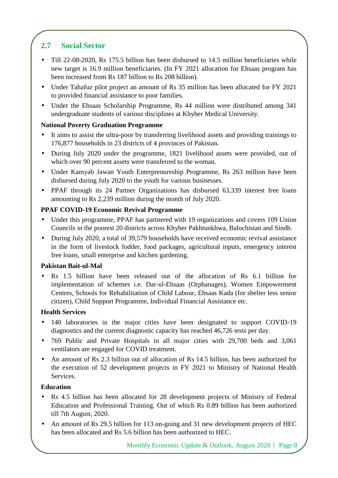# **2.7 Social Sector**

- Till 22-08-2020, Rs 175.5 billion has been disbursed to 14.5 million beneficiaries while new target is 16.9 million beneficiaries. (In FY 2021 allocation for Ehsaas program has been increased from Rs 187 billion to Rs 208 billion).
- Under Tahafuz pilot project an amount of Rs 35 million has been allocated for FY 2021 to provided financial assistance to poor families.
- Under the Ehsaas Scholarship Programme, Rs 44 million were distributed among 341 undergraduate students of various disciplines at Khyber Medical University.

## **National Poverty Graduation Programme**

- It aims to assist the ultra-poor by transferring livelihood assets and providing trainings to 176,877 households in 23 districts of 4 provinces of Pakistan.
- During July 2020 under the programme, 1821 livelihood assets were provided, out of which over 90 percent assets were transferred to the woman.
- Under Kamyab Jawan Youth Enterprenureship Programme, Rs 263 million have been disbursed during July 2020 to the youth for various businesses.
- PPAF through its 24 Partner Organizations has disbursed 63,339 interest free loans amounting to Rs 2,239 million during the month of July 2020.

## **PPAF COVID-19 Economic Revival Programme**

- Under this programme, PPAF has partnered with 19 organizations and covers 109 Union Councils in the poorest 20 districts across Khyber Pakhtunkhwa, Balochistan and Sindh.
- During July 2020, a total of 39,579 households have received economic revival assistance in the form of livestock fodder, food packages, agricultural inputs, emergency interest free loans, small enterprise and kitchen gardening.

## **Pakistan Bait-ul-Mal**

• Rs 1.5 billion have been released out of the allocation of Rs 6.1 billion for implementation of schemes i.e. Dar-ul-Ehsaas (Orphanages), Women Empowerment Centres, Schools for Rehabilitation of Child Labour, Ehsaas Kada (for shelter less senior citizen), Child Support Programme, Individual Financial Assistance etc.

## **Health Services**

- 140 laboratories in the major cities have been designated to support COVID-19 diagnostics and the current diagnostic capacity has reached 46,726 tests per day.
- 769 Public and Private Hospitals in all major cities with 29,700 beds and 3,061 ventilators are engaged for COVID treatment.
- An amount of Rs 2.3 billion out of allocation of Rs 14.5 billion, has been authorized for the execution of 52 development projects in FY 2021 to Ministry of National Health Services.

## **Education**

- Rs 4.5 billion has been allocated for 28 development projects of Ministry of Federal Education and Professional Training. Out of which Rs 0.89 billion has been authorized till 7th August, 2020.
- An amount of Rs 29.5 billion for 113 on-going and 31 new development projects of HEC has been allocated and Rs 5.6 billion has been authorized to HEC.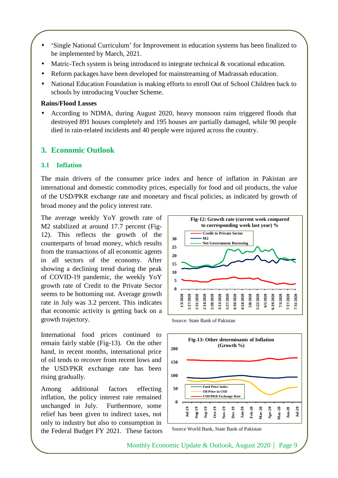- 'Single National Curriculum' for Improvement in education systems has been finalized to be implemented by March, 2021.
- Matric-Tech system is being introduced to integrate technical & vocational education.
- Reform packages have been developed for mainstreaming of Madrassah education.
- National Education Foundation is making efforts to enroll Out of School Children back to schools by introducing Voucher Scheme.

#### **Rains/Flood Losses**

• According to NDMA, during August 2020, heavy monsoon rains triggered floods that destroyed 891 houses completely and 195 houses are partially damaged, while 90 people died in rain-related incidents and 40 people were injured across the country.

## **3. Economic Outlook**

#### **3.1 Inflation**

The main drivers of the consumer price index and hence of inflation in Pakistan are international and domestic commodity prices, especially for food and oil products, the value of the USD/PKR exchange rate and monetary and fiscal policies, as indicated by growth of broad money and the policy interest rate.

The average weekly YoY growth rate of M2 stabilized at around 17.7 percent (Fig-12). This reflects the growth of the counterparts of broad money, which results from the transactions of all economic agents in all sectors of the economy. After showing a declining trend during the peak of COVID-19 pandemic, the weekly YoY growth rate of Credit to the Private Sector seems to be bottoming out. Average growth rate in July was 3.2 percent. This indicates that economic activity is getting back on a growth trajectory.

International food prices continued to remain fairly stable (Fig-13). On the other hand, in recent months, international price of oil tends to recover from recent lows and the USD/PKR exchange rate has been rising gradually.

Among additional factors effecting inflation, the policy interest rate remained unchanged in July. Furthermore, some relief has been given to indirect taxes, not only to industry but also to consumption in the Federal Budget FY 2021. These factors





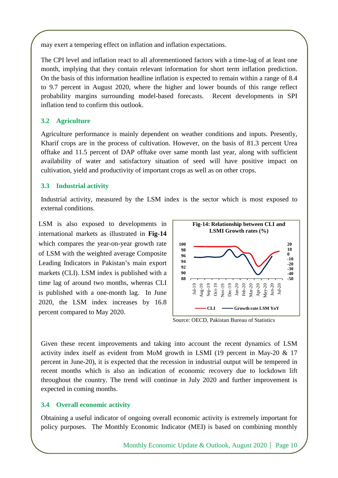may exert a tempering effect on inflation and inflation expectations.

The CPI level and inflation react to all aforementioned factors with a time-lag of at least one month, implying that they contain relevant information for short term inflation prediction. On the basis of this information headline inflation is expected to remain within a range of 8.4 to 9.7 percent in August 2020, where the higher and lower bounds of this range reflect probability margins surrounding model-based forecasts. Recent developments in SPI inflation tend to confirm this outlook.

### **3.2 Agriculture**

Agriculture performance is mainly dependent on weather conditions and inputs. Presently, Kharif crops are in the process of cultivation. However, on the basis of 81.3 percent Urea offtake and 11.5 percent of DAP offtake over same month last year, along with sufficient availability of water and satisfactory situation of seed will have positive impact on cultivation, yield and productivity of important crops as well as on other crops.

#### **3.3 Industrial activity**

Industrial activity, measured by the LSM index is the sector which is most exposed to external conditions.

LSM is also exposed to developments in international markets as illustrated in **Fig-14** which compares the year-on-year growth rate of LSM with the weighted average Composite Leading Indicators in Pakistan's main export markets (CLI). LSM index is published with a time lag of around two months, whereas CLI is published with a one-month lag. In June 2020, the LSM index increases by 16.8 percent compared to May 2020.



Source: OECD, Pakistan Bureau of Statistics

Given these recent improvements and taking into account the recent dynamics of LSM activity index itself as evident from MoM growth in LSMI (19 percent in May-20 & 17 percent in June-20), it is expected that the recession in industrial output will be tempered in recent months which is also an indication of economic recovery due to lockdown lift throughout the country. The trend will continue in July 2020 and further improvement is expected in coming months.

## **3.4 Overall economic activity**

Obtaining a useful indicator of ongoing overall economic activity is extremely important for policy purposes. The Monthly Economic Indicator (MEI) is based on combining monthly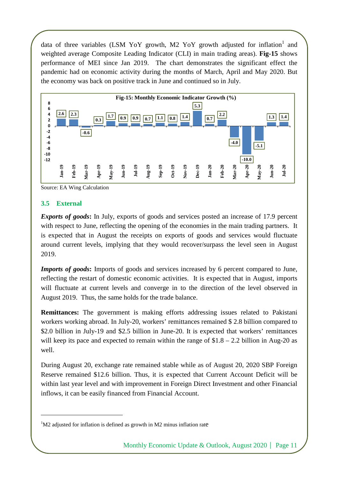data of three variables (LSM YoY growth, M2 YoY growth adjusted for inflation<sup>1</sup> and weighted average Composite Leading Indicator (CLI) in main trading areas). **Fig-15** shows performance of MEI since Jan 2019. The chart demonstrates the significant effect the pandemic had on economic activity during the months of March, April and May 2020. But the economy was back on positive track in June and continued so in July.



Source: EA Wing Calculation

#### **3.5 External**

 $\overline{a}$ 

*Exports of goods***:** In July, exports of goods and services posted an increase of 17.9 percent with respect to June, reflecting the opening of the economies in the main trading partners. It is expected that in August the receipts on exports of goods and services would fluctuate around current levels, implying that they would recover/surpass the level seen in August 2019.

*Imports of goods*: Imports of goods and services increased by 6 percent compared to June, reflecting the restart of domestic economic activities. It is expected that in August, imports will fluctuate at current levels and converge in to the direction of the level observed in August 2019. Thus, the same holds for the trade balance.

**Remittances:** The government is making efforts addressing issues related to Pakistani workers working abroad. In July-20, workers' remittances remained \$ 2.8 billion compared to \$2.0 billion in July-19 and \$2.5 billion in June-20. It is expected that workers' remittances will keep its pace and expected to remain within the range of  $$1.8 - 2.2$  billion in Aug-20 as well.

During August 20, exchange rate remained stable while as of August 20, 2020 SBP Foreign Reserve remained \$12.6 billion. Thus, it is expected that Current Account Deficit will be within last year level and with improvement in Foreign Direct Investment and other Financial inflows, it can be easily financed from Financial Account.

 $1$ M2 adjusted for inflation is defined as growth in M2 minus inflation rate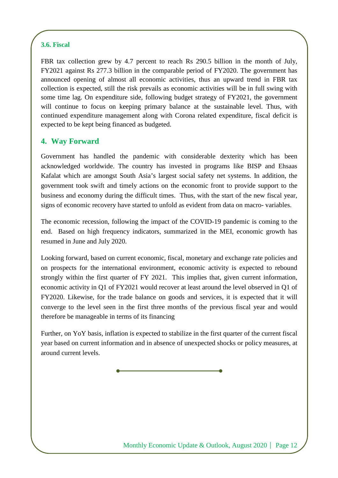## **3.6. Fiscal**

FBR tax collection grew by 4.7 percent to reach Rs 290.5 billion in the month of July, FY2021 against Rs 277.3 billion in the comparable period of FY2020. The government has announced opening of almost all economic activities, thus an upward trend in FBR tax collection is expected, still the risk prevails as economic activities will be in full swing with some time lag. On expenditure side, following budget strategy of FY2021, the government will continue to focus on keeping primary balance at the sustainable level. Thus, with continued expenditure management along with Corona related expenditure, fiscal deficit is expected to be kept being financed as budgeted.

## **4. Way Forward**

Government has handled the pandemic with considerable dexterity which has been acknowledged worldwide. The country has invested in programs like BISP and Ehsaas Kafalat which are amongst South Asia's largest social safety net systems. In addition, the government took swift and timely actions on the economic front to provide support to the business and economy during the difficult times. Thus, with the start of the new fiscal year, signs of economic recovery have started to unfold as evident from data on macro- variables.

The economic recession, following the impact of the COVID-19 pandemic is coming to the end. Based on high frequency indicators, summarized in the MEI, economic growth has resumed in June and July 2020.

Looking forward, based on current economic, fiscal, monetary and exchange rate policies and on prospects for the international environment, economic activity is expected to rebound strongly within the first quarter of FY 2021. This implies that, given current information, economic activity in Q1 of FY2021 would recover at least around the level observed in Q1 of FY2020. Likewise, for the trade balance on goods and services, it is expected that it will converge to the level seen in the first three months of the previous fiscal year and would therefore be manageable in terms of its financing

Further, on YoY basis, inflation is expected to stabilize in the first quarter of the current fiscal year based on current information and in absence of unexpected shocks or policy measures, at around current levels.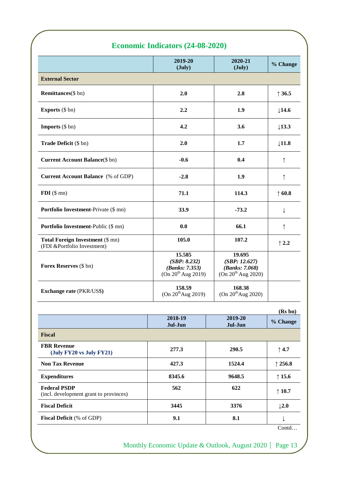# **Economic Indicators (24-08-2020)**

|                                                                        | 2019-20<br>$(\text{July})$                                                 | 2020-21<br>$(\text{July})$                                                  | % Change          |
|------------------------------------------------------------------------|----------------------------------------------------------------------------|-----------------------------------------------------------------------------|-------------------|
| <b>External Sector</b>                                                 |                                                                            |                                                                             |                   |
| <b>Remittances</b> (\$ bn)                                             | 2.0                                                                        | 2.8                                                                         | $\uparrow$ 36.5   |
| <b>Exports</b> (\$ bn)                                                 | 2.2                                                                        | 1.9                                                                         | $\downarrow$ 14.6 |
| <b>Imports</b> $(\$ bn)$                                               | 4.2                                                                        | 3.6                                                                         | $\downarrow$ 13.3 |
| Trade Deficit (\$ bn)                                                  | 2.0                                                                        | 1.7                                                                         | $\downarrow$ 11.8 |
| <b>Current Account Balance</b> (\$ bn)                                 | $-0.6$                                                                     | 0.4                                                                         | ↑                 |
| <b>Current Account Balance</b> (% of GDP)                              | $-2.8$                                                                     | 1.9                                                                         | $\uparrow$        |
| $FDI$ (\$ mn)                                                          | 71.1                                                                       | 114.3                                                                       | $\uparrow$ 60.8   |
| <b>Portfolio Investment-Private (\$ mn)</b>                            | 33.9                                                                       | $-73.2$                                                                     | ↓                 |
| Portfolio Investment-Public (\$ mn)                                    | 0.0                                                                        | 66.1                                                                        | ↑                 |
| <b>Total Foreign Investment (\$ mn)</b><br>(FDI &Portfolio Investment) | 105.0                                                                      | 107.2                                                                       | $\uparrow$ 2.2    |
| Forex Reserves (\$ bn)                                                 | 15.585<br>(SBP: 8.232)<br>(Banks: 7.353)<br>(On 20 <sup>th</sup> Aug 2019) | 19.695<br>(SBP: 12.627)<br>(Banks: 7.068)<br>(On 20 <sup>th</sup> Aug 2020) |                   |
| <b>Exchange rate (PKR/US\$)</b>                                        | 158.59<br>(On 20 <sup>th</sup> Aug 2019)                                   | 168.38<br>(On 20 <sup>th</sup> Aug 2020)                                    |                   |
|                                                                        |                                                                            |                                                                             | (Rs bn)           |
|                                                                        | 2018-19<br>Jul-Jun                                                         | 2019-20<br>Jul-Jun                                                          | % Change          |
| Fiscal                                                                 |                                                                            |                                                                             |                   |
| <b>FBR</b> Revenue<br>(July FY20 vs July FY21)                         | 277.3                                                                      | 290.5                                                                       | $\uparrow$ 4.7    |
| <b>Non Tax Revenue</b>                                                 | 427.3                                                                      | 1524.4                                                                      | 1256.8            |

| <b>Non Tax Revenue</b>                                        | 427.3  | 1524.4 | $\uparrow$ 256.8 |
|---------------------------------------------------------------|--------|--------|------------------|
| <b>Expenditures</b>                                           | 8345.6 | 9648.5 | $\uparrow$ 15.6  |
| <b>Federal PSDP</b><br>(incl. development grant to provinces) | 562    | 622    | $\uparrow$ 10.7  |
| <b>Fiscal Deficit</b>                                         | 3445   | 3376   | $\perp$ 2.0      |
| <b>Fiscal Deficit</b> (% of GDP)                              | 9.1    | 8.1    |                  |

Contd…